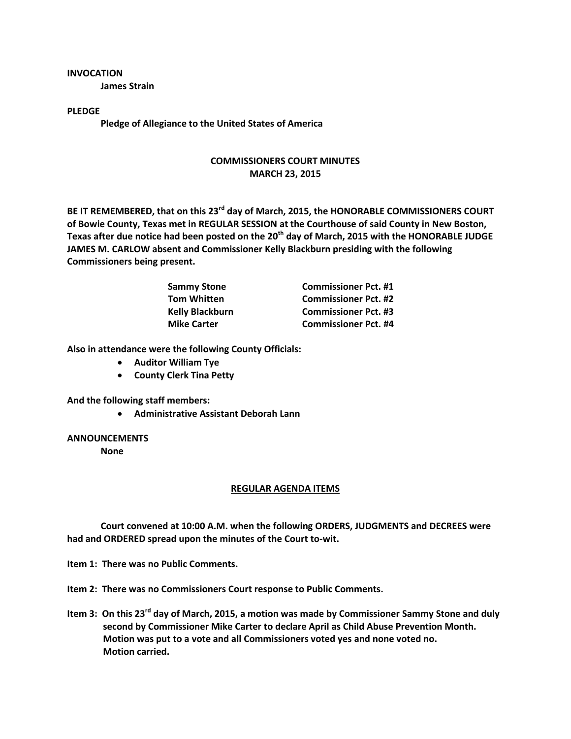## **INVOCATION**

**James Strain**

**PLEDGE**

**Pledge of Allegiance to the United States of America**

## **COMMISSIONERS COURT MINUTES MARCH 23, 2015**

**BE IT REMEMBERED, that on this 23rd day of March, 2015, the HONORABLE COMMISSIONERS COURT of Bowie County, Texas met in REGULAR SESSION at the Courthouse of said County in New Boston, Texas after due notice had been posted on the 20th day of March, 2015 with the HONORABLE JUDGE JAMES M. CARLOW absent and Commissioner Kelly Blackburn presiding with the following Commissioners being present.**

| <b>Sammy Stone</b>     | <b>Commissioner Pct. #1</b> |
|------------------------|-----------------------------|
| <b>Tom Whitten</b>     | <b>Commissioner Pct. #2</b> |
| <b>Kelly Blackburn</b> | <b>Commissioner Pct. #3</b> |
| <b>Mike Carter</b>     | <b>Commissioner Pct. #4</b> |

**Also in attendance were the following County Officials:**

- **Auditor William Tye**
- **County Clerk Tina Petty**

**And the following staff members:**

**Administrative Assistant Deborah Lann**

## **ANNOUNCEMENTS**

**None**

## **REGULAR AGENDA ITEMS**

**Court convened at 10:00 A.M. when the following ORDERS, JUDGMENTS and DECREES were had and ORDERED spread upon the minutes of the Court to-wit.**

**Item 1: There was no Public Comments.**

- **Item 2: There was no Commissioners Court response to Public Comments.**
- **Item 3: On this 23rd day of March, 2015, a motion was made by Commissioner Sammy Stone and duly second by Commissioner Mike Carter to declare April as Child Abuse Prevention Month. Motion was put to a vote and all Commissioners voted yes and none voted no. Motion carried.**